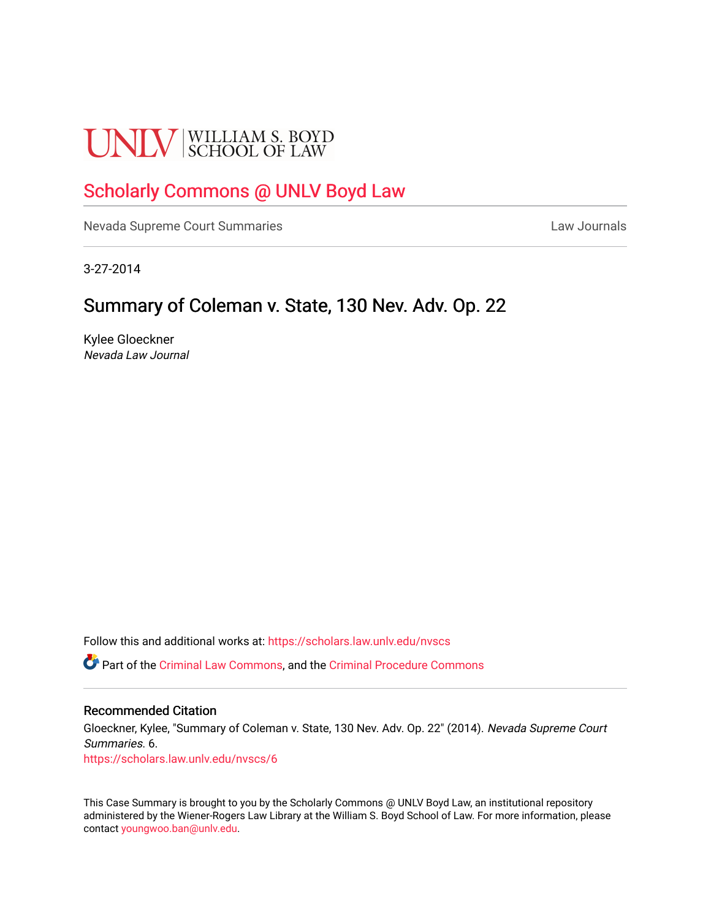# **UNLV** SCHOOL OF LAW

## [Scholarly Commons @ UNLV Boyd Law](https://scholars.law.unlv.edu/)

[Nevada Supreme Court Summaries](https://scholars.law.unlv.edu/nvscs) **Law Journals** Law Journals

3-27-2014

# Summary of Coleman v. State, 130 Nev. Adv. Op. 22

Kylee Gloeckner Nevada Law Journal

Follow this and additional works at: [https://scholars.law.unlv.edu/nvscs](https://scholars.law.unlv.edu/nvscs?utm_source=scholars.law.unlv.edu%2Fnvscs%2F6&utm_medium=PDF&utm_campaign=PDFCoverPages)

Part of the [Criminal Law Commons,](http://network.bepress.com/hgg/discipline/912?utm_source=scholars.law.unlv.edu%2Fnvscs%2F6&utm_medium=PDF&utm_campaign=PDFCoverPages) and the [Criminal Procedure Commons](http://network.bepress.com/hgg/discipline/1073?utm_source=scholars.law.unlv.edu%2Fnvscs%2F6&utm_medium=PDF&utm_campaign=PDFCoverPages)

#### Recommended Citation

Gloeckner, Kylee, "Summary of Coleman v. State, 130 Nev. Adv. Op. 22" (2014). Nevada Supreme Court Summaries. 6. [https://scholars.law.unlv.edu/nvscs/6](https://scholars.law.unlv.edu/nvscs/6?utm_source=scholars.law.unlv.edu%2Fnvscs%2F6&utm_medium=PDF&utm_campaign=PDFCoverPages) 

This Case Summary is brought to you by the Scholarly Commons @ UNLV Boyd Law, an institutional repository administered by the Wiener-Rogers Law Library at the William S. Boyd School of Law. For more information, please contact [youngwoo.ban@unlv.edu](mailto:youngwoo.ban@unlv.edu).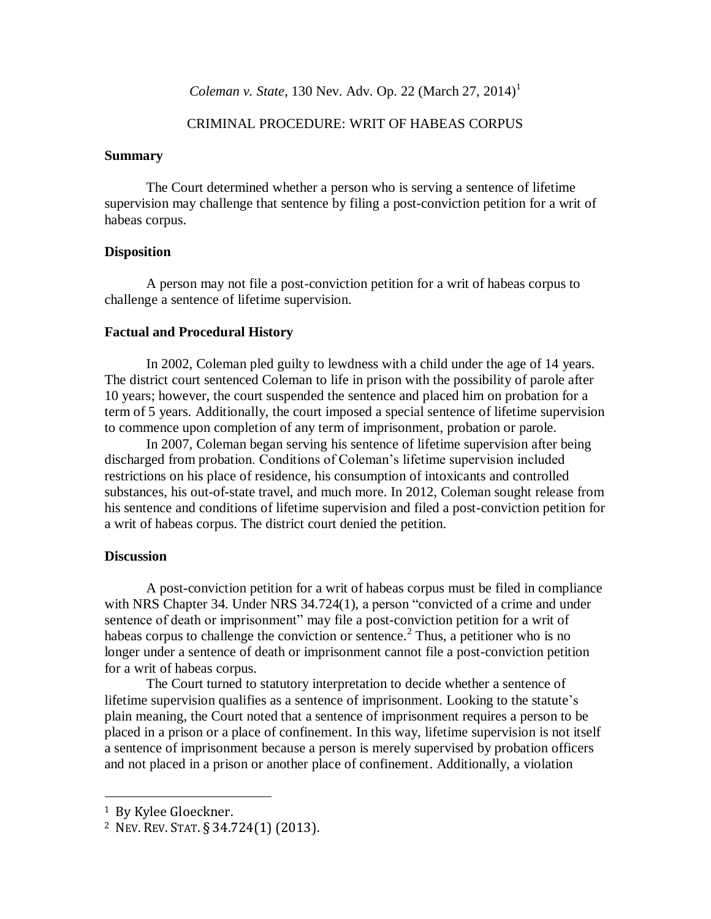### CRIMINAL PROCEDURE: WRIT OF HABEAS CORPUS

#### **Summary**

The Court determined whether a person who is serving a sentence of lifetime supervision may challenge that sentence by filing a post-conviction petition for a writ of habeas corpus.

#### **Disposition**

A person may not file a post-conviction petition for a writ of habeas corpus to challenge a sentence of lifetime supervision.

#### **Factual and Procedural History**

In 2002, Coleman pled guilty to lewdness with a child under the age of 14 years. The district court sentenced Coleman to life in prison with the possibility of parole after 10 years; however, the court suspended the sentence and placed him on probation for a term of 5 years. Additionally, the court imposed a special sentence of lifetime supervision to commence upon completion of any term of imprisonment, probation or parole.

In 2007, Coleman began serving his sentence of lifetime supervision after being discharged from probation. Conditions of Coleman's lifetime supervision included restrictions on his place of residence, his consumption of intoxicants and controlled substances, his out-of-state travel, and much more. In 2012, Coleman sought release from his sentence and conditions of lifetime supervision and filed a post-conviction petition for a writ of habeas corpus. The district court denied the petition.

## **Discussion**

A post-conviction petition for a writ of habeas corpus must be filed in compliance with NRS Chapter 34. Under NRS 34.724(1), a person "convicted of a crime and under sentence of death or imprisonment" may file a post-conviction petition for a writ of habeas corpus to challenge the conviction or sentence.<sup>2</sup> Thus, a petitioner who is no longer under a sentence of death or imprisonment cannot file a post-conviction petition for a writ of habeas corpus.

The Court turned to statutory interpretation to decide whether a sentence of lifetime supervision qualifies as a sentence of imprisonment. Looking to the statute's plain meaning, the Court noted that a sentence of imprisonment requires a person to be placed in a prison or a place of confinement. In this way, lifetime supervision is not itself a sentence of imprisonment because a person is merely supervised by probation officers and not placed in a prison or another place of confinement. Additionally, a violation

 $\overline{\phantom{a}}$ 

<sup>1</sup> By Kylee Gloeckner.

<sup>2</sup> NEV. REV.STAT. § 34.724(1) (2013).